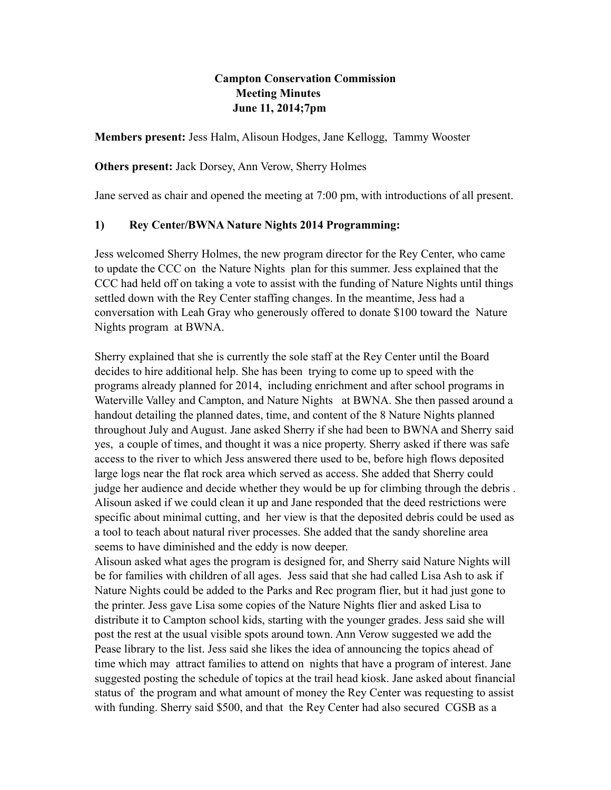### **Campton Conservation Commission Meeting Minutes June 11, 2014;7pm**

**Members present:** Jess Halm, Alisoun Hodges, Jane Kellogg, Tammy Wooster

#### **Others present:** Jack Dorsey, Ann Verow, Sherry Holmes

Jane served as chair and opened the meeting at 7:00 pm, with introductions of all present.

### **1) Rey Cente**r**/BWNA Nature Nights 2014 Programming:**

Jess welcomed Sherry Holmes, the new program director for the Rey Center, who came to update the CCC on the Nature Nights plan for this summer. Jess explained that the CCC had held off on taking a vote to assist with the funding of Nature Nights until things settled down with the Rey Center staffing changes. In the meantime, Jess had a conversation with Leah Gray who generously offered to donate \$100 toward the Nature Nights program at BWNA.

Sherry explained that she is currently the sole staff at the Rey Center until the Board decides to hire additional help. She has been trying to come up to speed with the programs already planned for 2014, including enrichment and after school programs in Waterville Valley and Campton, and Nature Nights at BWNA. She then passed around a handout detailing the planned dates, time, and content of the 8 Nature Nights planned throughout July and August. Jane asked Sherry if she had been to BWNA and Sherry said yes, a couple of times, and thought it was a nice property. Sherry asked if there was safe access to the river to which Jess answered there used to be, before high flows deposited large logs near the flat rock area which served as access. She added that Sherry could judge her audience and decide whether they would be up for climbing through the debris . Alisoun asked if we could clean it up and Jane responded that the deed restrictions were specific about minimal cutting, and her view is that the deposited debris could be used as a tool to teach about natural river processes. She added that the sandy shoreline area seems to have diminished and the eddy is now deeper.

Alisoun asked what ages the program is designed for, and Sherry said Nature Nights will be for families with children of all ages. Jess said that she had called Lisa Ash to ask if Nature Nights could be added to the Parks and Rec program flier, but it had just gone to the printer. Jess gave Lisa some copies of the Nature Nights flier and asked Lisa to distribute it to Campton school kids, starting with the younger grades. Jess said she will post the rest at the usual visible spots around town. Ann Verow suggested we add the Pease library to the list. Jess said she likes the idea of announcing the topics ahead of time which may attract families to attend on nights that have a program of interest. Jane suggested posting the schedule of topics at the trail head kiosk. Jane asked about financial status of the program and what amount of money the Rey Center was requesting to assist with funding. Sherry said \$500, and that the Rey Center had also secured CGSB as a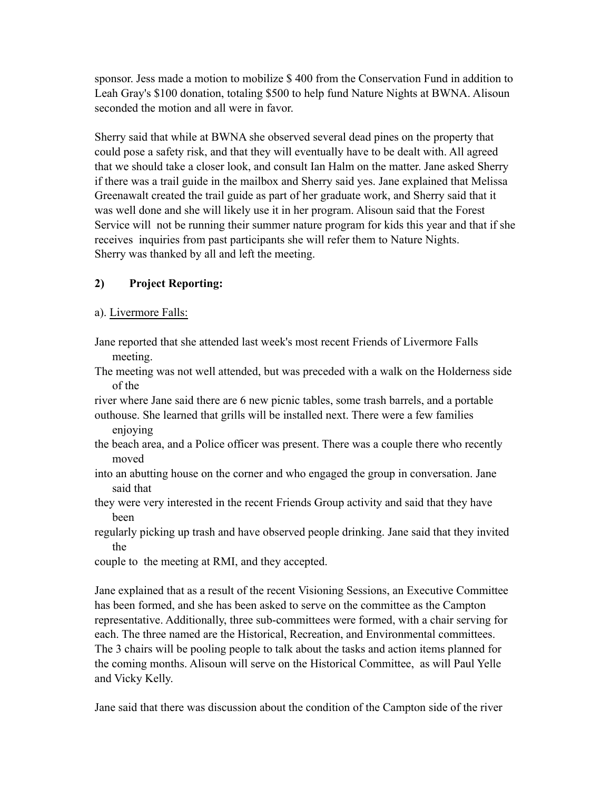sponsor. Jess made a motion to mobilize \$ 400 from the Conservation Fund in addition to Leah Gray's \$100 donation, totaling \$500 to help fund Nature Nights at BWNA. Alisoun seconded the motion and all were in favor.

Sherry said that while at BWNA she observed several dead pines on the property that could pose a safety risk, and that they will eventually have to be dealt with. All agreed that we should take a closer look, and consult Ian Halm on the matter. Jane asked Sherry if there was a trail guide in the mailbox and Sherry said yes. Jane explained that Melissa Greenawalt created the trail guide as part of her graduate work, and Sherry said that it was well done and she will likely use it in her program. Alisoun said that the Forest Service will not be running their summer nature program for kids this year and that if she receives inquiries from past participants she will refer them to Nature Nights. Sherry was thanked by all and left the meeting.

# **2) Project Reporting:**

## a). Livermore Falls:

- Jane reported that she attended last week's most recent Friends of Livermore Falls meeting.
- The meeting was not well attended, but was preceded with a walk on the Holderness side of the

river where Jane said there are 6 new picnic tables, some trash barrels, and a portable outhouse. She learned that grills will be installed next. There were a few families enjoying

- the beach area, and a Police officer was present. There was a couple there who recently moved
- into an abutting house on the corner and who engaged the group in conversation. Jane said that
- they were very interested in the recent Friends Group activity and said that they have been
- regularly picking up trash and have observed people drinking. Jane said that they invited the
- couple to the meeting at RMI, and they accepted.

Jane explained that as a result of the recent Visioning Sessions, an Executive Committee has been formed, and she has been asked to serve on the committee as the Campton representative. Additionally, three sub-committees were formed, with a chair serving for each. The three named are the Historical, Recreation, and Environmental committees. The 3 chairs will be pooling people to talk about the tasks and action items planned for the coming months. Alisoun will serve on the Historical Committee, as will Paul Yelle and Vicky Kelly.

Jane said that there was discussion about the condition of the Campton side of the river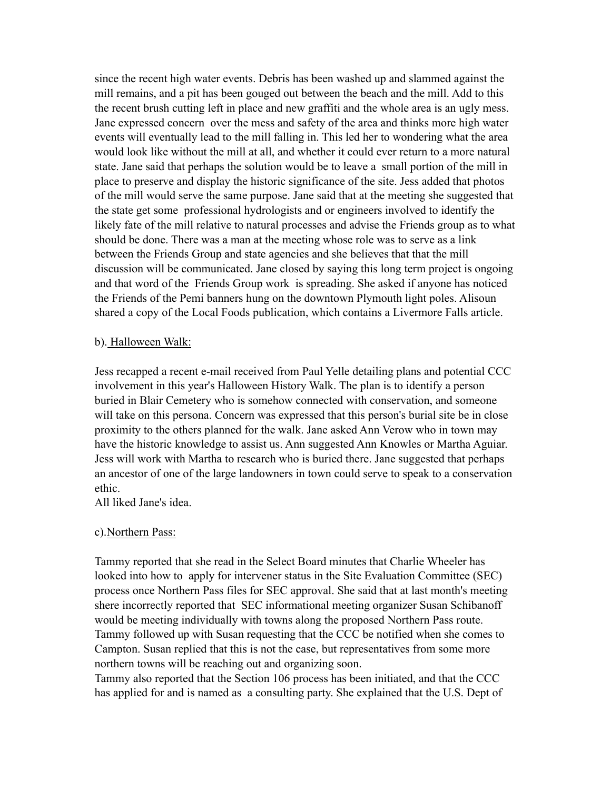since the recent high water events. Debris has been washed up and slammed against the mill remains, and a pit has been gouged out between the beach and the mill. Add to this the recent brush cutting left in place and new graffiti and the whole area is an ugly mess. Jane expressed concern over the mess and safety of the area and thinks more high water events will eventually lead to the mill falling in. This led her to wondering what the area would look like without the mill at all, and whether it could ever return to a more natural state. Jane said that perhaps the solution would be to leave a small portion of the mill in place to preserve and display the historic significance of the site. Jess added that photos of the mill would serve the same purpose. Jane said that at the meeting she suggested that the state get some professional hydrologists and or engineers involved to identify the likely fate of the mill relative to natural processes and advise the Friends group as to what should be done. There was a man at the meeting whose role was to serve as a link between the Friends Group and state agencies and she believes that that the mill discussion will be communicated. Jane closed by saying this long term project is ongoing and that word of the Friends Group work is spreading. She asked if anyone has noticed the Friends of the Pemi banners hung on the downtown Plymouth light poles. Alisoun shared a copy of the Local Foods publication, which contains a Livermore Falls article.

#### b). Halloween Walk:

Jess recapped a recent e-mail received from Paul Yelle detailing plans and potential CCC involvement in this year's Halloween History Walk. The plan is to identify a person buried in Blair Cemetery who is somehow connected with conservation, and someone will take on this persona. Concern was expressed that this person's burial site be in close proximity to the others planned for the walk. Jane asked Ann Verow who in town may have the historic knowledge to assist us. Ann suggested Ann Knowles or Martha Aguiar. Jess will work with Martha to research who is buried there. Jane suggested that perhaps an ancestor of one of the large landowners in town could serve to speak to a conservation ethic.

All liked Jane's idea.

#### c).Northern Pass:

Tammy reported that she read in the Select Board minutes that Charlie Wheeler has looked into how to apply for intervener status in the Site Evaluation Committee (SEC) process once Northern Pass files for SEC approval. She said that at last month's meeting shere incorrectly reported that SEC informational meeting organizer Susan Schibanoff would be meeting individually with towns along the proposed Northern Pass route. Tammy followed up with Susan requesting that the CCC be notified when she comes to Campton. Susan replied that this is not the case, but representatives from some more northern towns will be reaching out and organizing soon.

Tammy also reported that the Section 106 process has been initiated, and that the CCC has applied for and is named as a consulting party. She explained that the U.S. Dept of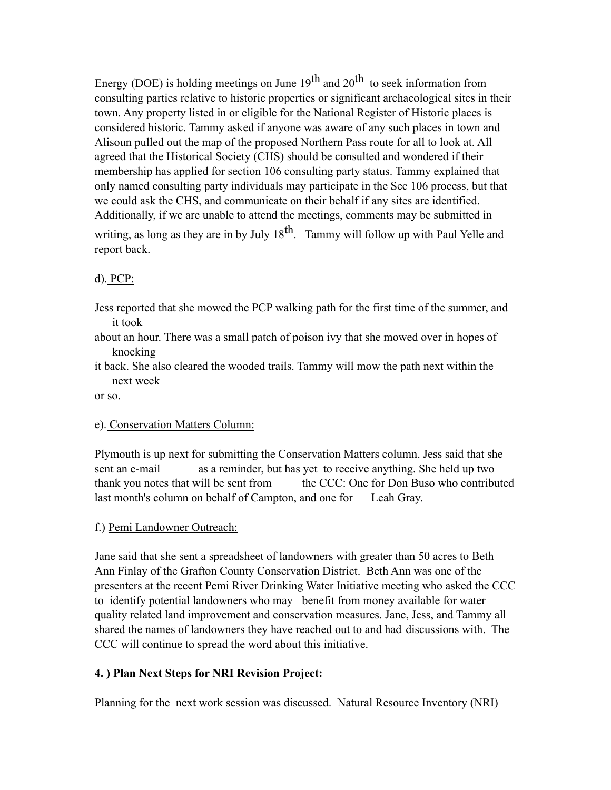Energy (DOE) is holding meetings on June  $19<sup>th</sup>$  and  $20<sup>th</sup>$  to seek information from consulting parties relative to historic properties or significant archaeological sites in their town. Any property listed in or eligible for the National Register of Historic places is considered historic. Tammy asked if anyone was aware of any such places in town and Alisoun pulled out the map of the proposed Northern Pass route for all to look at. All agreed that the Historical Society (CHS) should be consulted and wondered if their membership has applied for section 106 consulting party status. Tammy explained that only named consulting party individuals may participate in the Sec 106 process, but that we could ask the CHS, and communicate on their behalf if any sites are identified. Additionally, if we are unable to attend the meetings, comments may be submitted in writing, as long as they are in by July  $18<sup>th</sup>$ . Tammy will follow up with Paul Yelle and report back.

### d). PCP:

- Jess reported that she mowed the PCP walking path for the first time of the summer, and it took
- about an hour. There was a small patch of poison ivy that she mowed over in hopes of knocking
- it back. She also cleared the wooded trails. Tammy will mow the path next within the next week

or so.

#### e). Conservation Matters Column:

Plymouth is up next for submitting the Conservation Matters column. Jess said that she sent an e-mail as a reminder, but has yet to receive anything. She held up two thank you notes that will be sent from the CCC: One for Don Buso who contributed last month's column on behalf of Campton, and one for Leah Gray.

#### f.) Pemi Landowner Outreach:

Jane said that she sent a spreadsheet of landowners with greater than 50 acres to Beth Ann Finlay of the Grafton County Conservation District. Beth Ann was one of the presenters at the recent Pemi River Drinking Water Initiative meeting who asked the CCC to identify potential landowners who may benefit from money available for water quality related land improvement and conservation measures. Jane, Jess, and Tammy all shared the names of landowners they have reached out to and had discussions with. The CCC will continue to spread the word about this initiative.

#### **4. ) Plan Next Steps for NRI Revision Project:**

Planning for the next work session was discussed. Natural Resource Inventory (NRI)